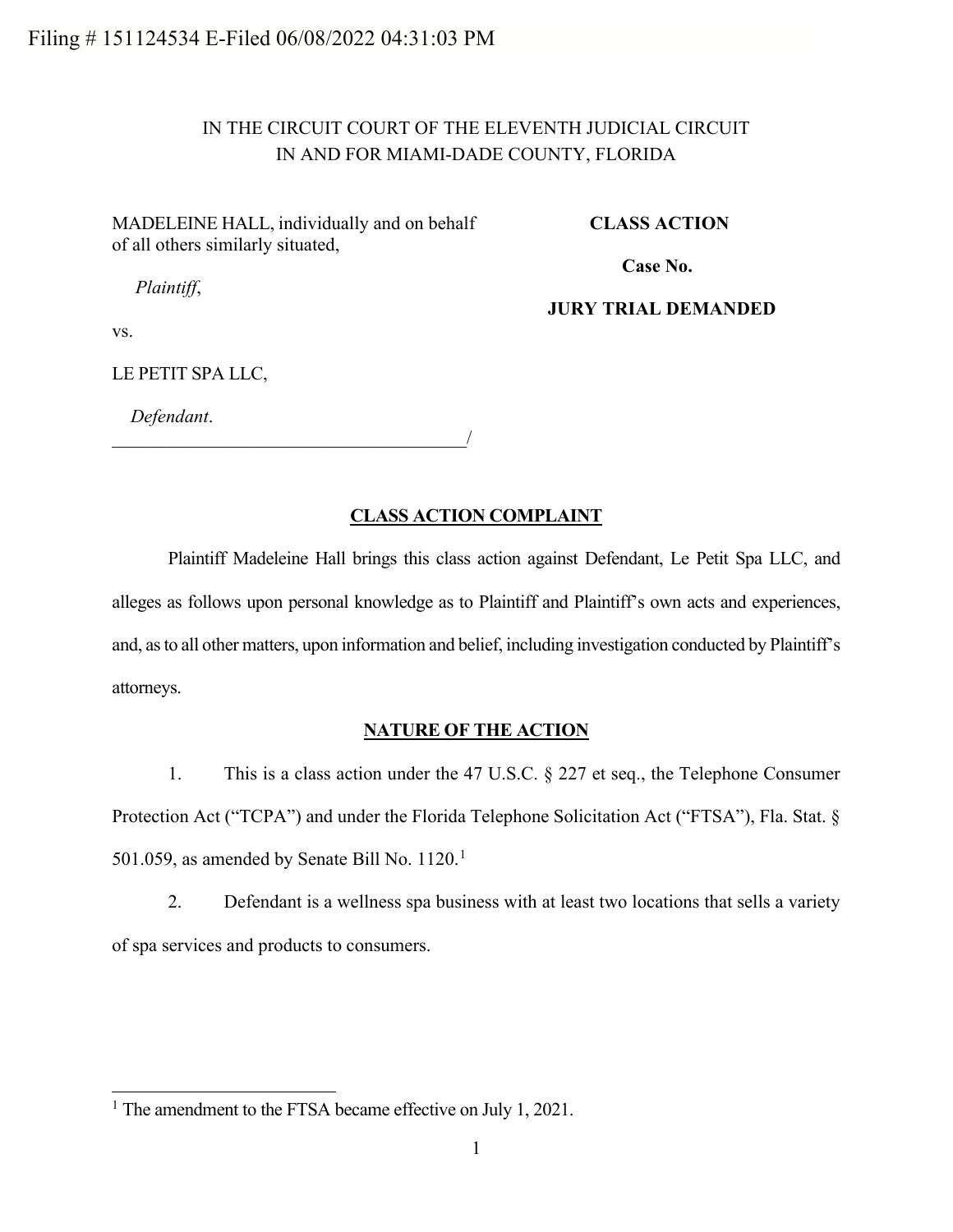# IN THE CIRCUIT COURT OF THE ELEVENTH JUDICIAL CIRCUIT IN AND FOR MIAMI-DADE COUNTY, FLORIDA

MADELEINE HALL, individually and on behalf of all others similarly situated,

**CLASS ACTION**

**Case No.** 

*Plaintiff*,

**JURY TRIAL DEMANDED**

vs.

LE PETIT SPA LLC,

*Defendant*.

\_\_\_\_\_\_\_\_\_\_\_\_\_\_\_\_\_\_\_\_\_\_\_\_\_\_\_\_\_\_\_\_\_\_\_\_\_\_/

### **CLASS ACTION COMPLAINT**

Plaintiff Madeleine Hall brings this class action against Defendant, Le Petit Spa LLC, and alleges as follows upon personal knowledge as to Plaintiff and Plaintiff's own acts and experiences, and, as to all other matters, upon information and belief, including investigation conducted by Plaintiff's attorneys.

### **NATURE OF THE ACTION**

1. This is a class action under the 47 U.S.C. § 227 et seq., the Telephone Consumer Protection Act ("TCPA") and under the Florida Telephone Solicitation Act ("FTSA"), Fla. Stat. § 50[1](#page-0-0).059, as amended by Senate Bill No.  $1120.<sup>1</sup>$ 

2. Defendant is a wellness spa business with at least two locations that sells a variety of spa services and products to consumers.

<span id="page-0-0"></span><sup>&</sup>lt;sup>1</sup> The amendment to the FTSA became effective on July 1, 2021.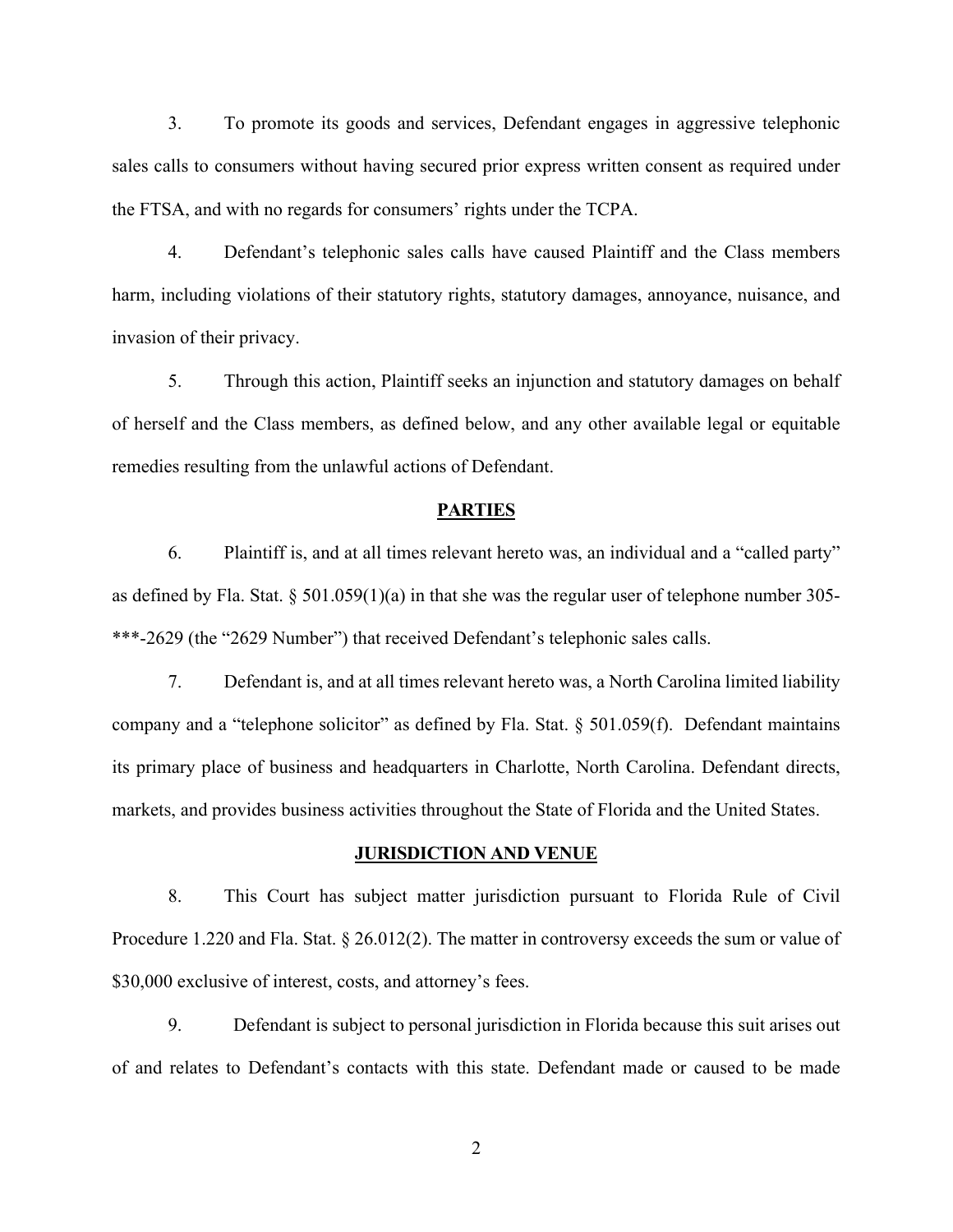3. To promote its goods and services, Defendant engages in aggressive telephonic sales calls to consumers without having secured prior express written consent as required under the FTSA, and with no regards for consumers' rights under the TCPA.

4. Defendant's telephonic sales calls have caused Plaintiff and the Class members harm, including violations of their statutory rights, statutory damages, annoyance, nuisance, and invasion of their privacy.

5. Through this action, Plaintiff seeks an injunction and statutory damages on behalf of herself and the Class members, as defined below, and any other available legal or equitable remedies resulting from the unlawful actions of Defendant.

#### **PARTIES**

6. Plaintiff is, and at all times relevant hereto was, an individual and a "called party" as defined by Fla. Stat. § 501.059(1)(a) in that she was the regular user of telephone number 305- \*\*\*-2629 (the "2629 Number") that received Defendant's telephonic sales calls.

7. Defendant is, and at all times relevant hereto was, a North Carolina limited liability company and a "telephone solicitor" as defined by Fla. Stat. § 501.059(f). Defendant maintains its primary place of business and headquarters in Charlotte, North Carolina. Defendant directs, markets, and provides business activities throughout the State of Florida and the United States.

#### **JURISDICTION AND VENUE**

8. This Court has subject matter jurisdiction pursuant to Florida Rule of Civil Procedure 1.220 and Fla. Stat. § 26.012(2). The matter in controversy exceeds the sum or value of \$30,000 exclusive of interest, costs, and attorney's fees.

9. Defendant is subject to personal jurisdiction in Florida because this suit arises out of and relates to Defendant's contacts with this state. Defendant made or caused to be made

2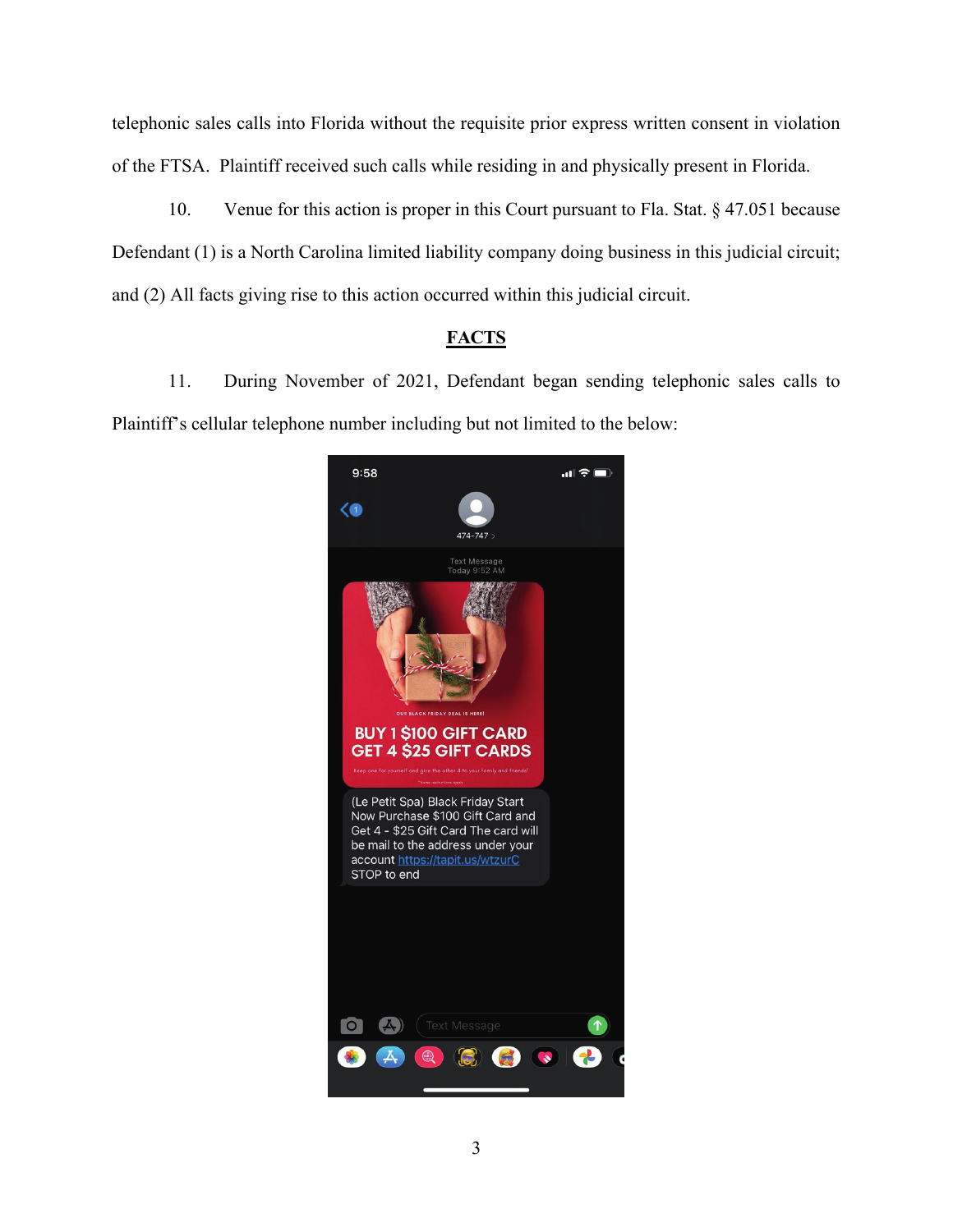telephonic sales calls into Florida without the requisite prior express written consent in violation of the FTSA. Plaintiff received such calls while residing in and physically present in Florida.

10. Venue for this action is proper in this Court pursuant to Fla. Stat. § 47.051 because Defendant (1) is a North Carolina limited liability company doing business in this judicial circuit; and (2) All facts giving rise to this action occurred within this judicial circuit.

# **FACTS**

11. During November of 2021, Defendant began sending telephonic sales calls to Plaintiff's cellular telephone number including but not limited to the below:

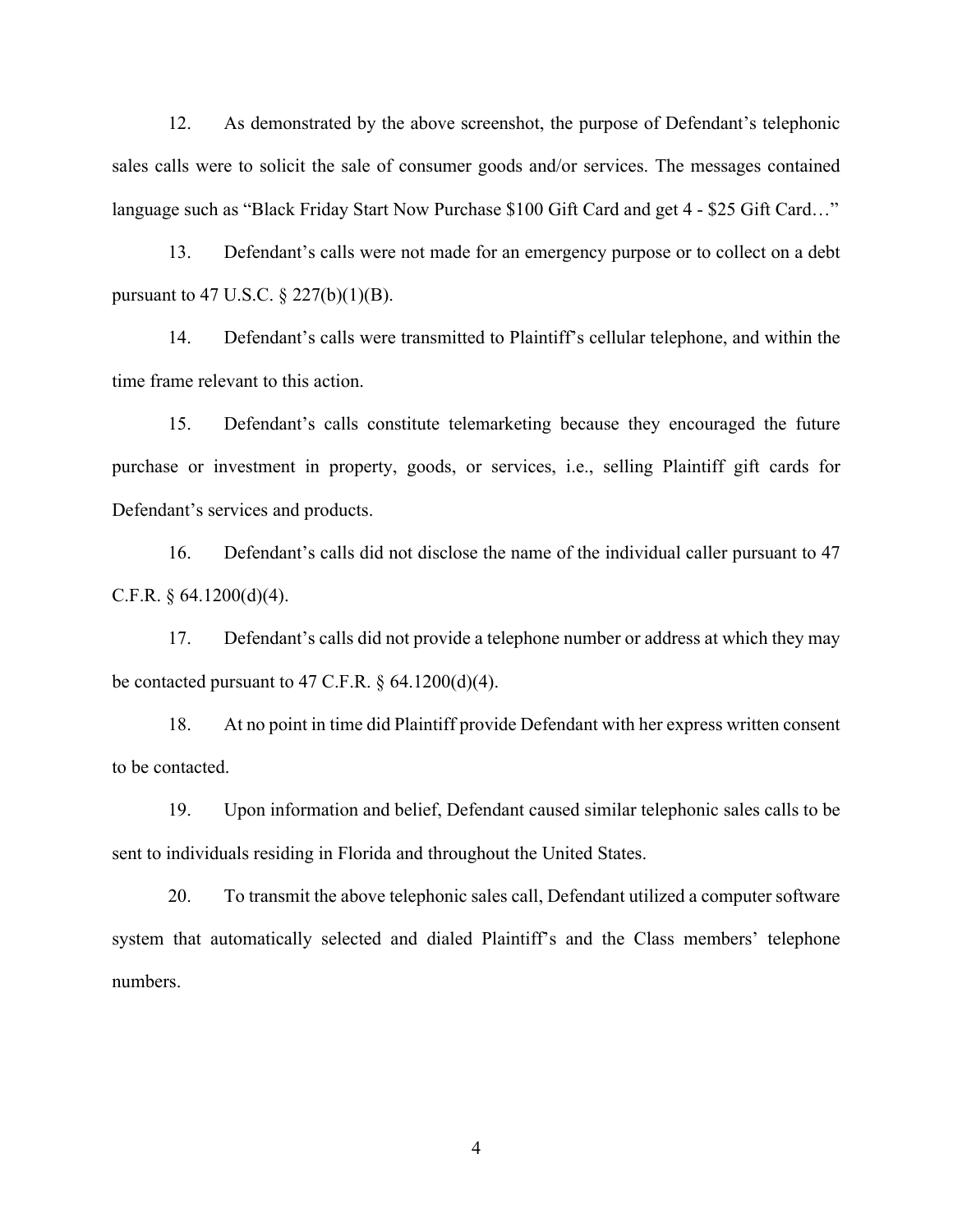12. As demonstrated by the above screenshot, the purpose of Defendant's telephonic sales calls were to solicit the sale of consumer goods and/or services. The messages contained language such as "Black Friday Start Now Purchase \$100 Gift Card and get 4 - \$25 Gift Card..."

13. Defendant's calls were not made for an emergency purpose or to collect on a debt pursuant to 47 U.S.C. § 227(b)(1)(B).

14. Defendant's calls were transmitted to Plaintiff's cellular telephone, and within the time frame relevant to this action.

15. Defendant's calls constitute telemarketing because they encouraged the future purchase or investment in property, goods, or services, i.e., selling Plaintiff gift cards for Defendant's services and products.

16. Defendant's calls did not disclose the name of the individual caller pursuant to 47 C.F.R.  $\S$  64.1200(d)(4).

17. Defendant's calls did not provide a telephone number or address at which they may be contacted pursuant to 47 C.F.R.  $\S$  64.1200(d)(4).

18. At no point in time did Plaintiff provide Defendant with her express written consent to be contacted.

19. Upon information and belief, Defendant caused similar telephonic sales calls to be sent to individuals residing in Florida and throughout the United States.

20. To transmit the above telephonic sales call, Defendant utilized a computer software system that automatically selected and dialed Plaintiff's and the Class members' telephone numbers.

4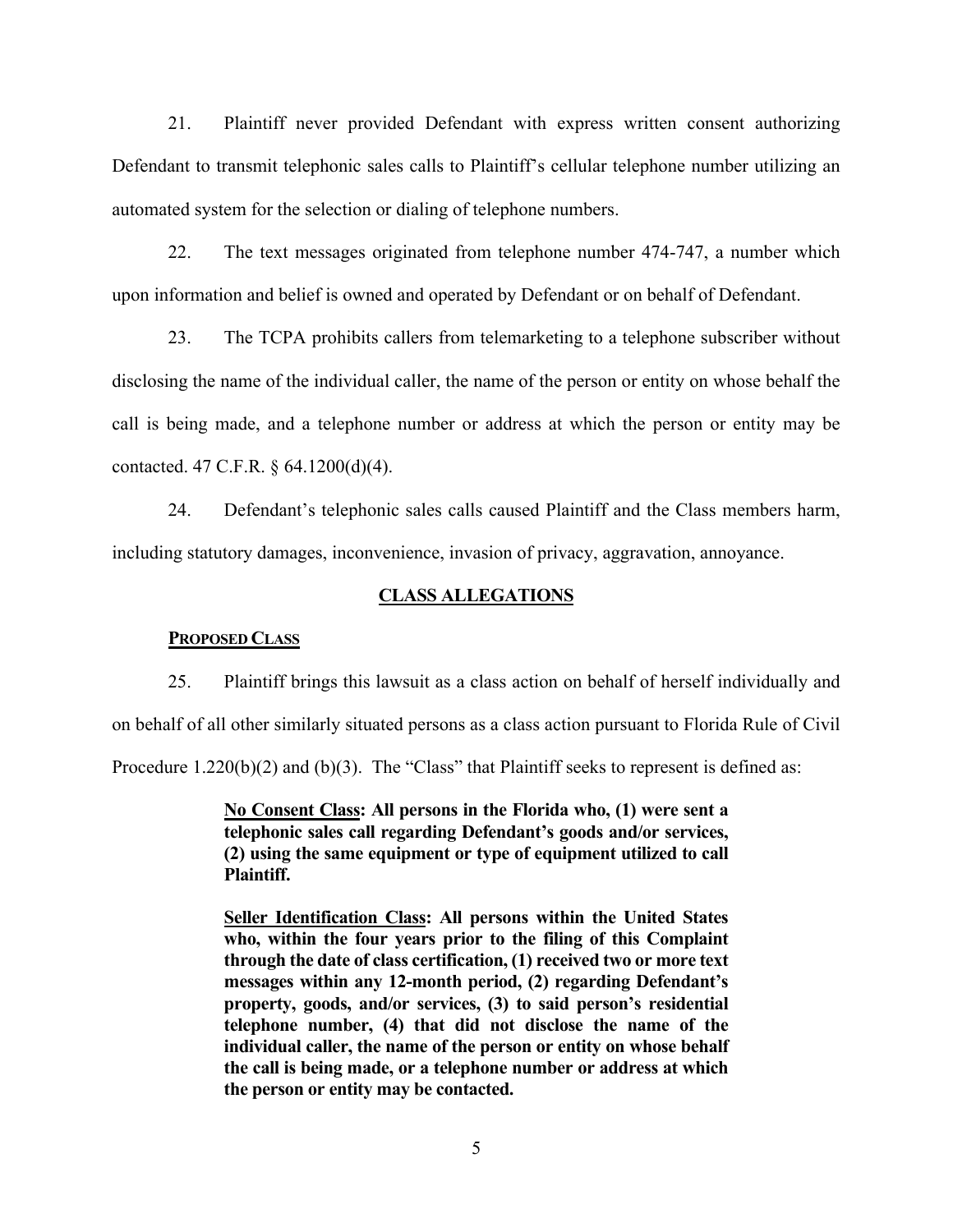21. Plaintiff never provided Defendant with express written consent authorizing Defendant to transmit telephonic sales calls to Plaintiff's cellular telephone number utilizing an automated system for the selection or dialing of telephone numbers.

22. The text messages originated from telephone number 474-747, a number which upon information and belief is owned and operated by Defendant or on behalf of Defendant.

23. The TCPA prohibits callers from telemarketing to a telephone subscriber without disclosing the name of the individual caller, the name of the person or entity on whose behalf the call is being made, and a telephone number or address at which the person or entity may be contacted. 47 C.F.R. § 64.1200(d)(4).

24. Defendant's telephonic sales calls caused Plaintiff and the Class members harm, including statutory damages, inconvenience, invasion of privacy, aggravation, annoyance.

#### **CLASS ALLEGATIONS**

#### **PROPOSED CLASS**

25. Plaintiff brings this lawsuit as a class action on behalf of herself individually and on behalf of all other similarly situated persons as a class action pursuant to Florida Rule of Civil

Procedure 1.220(b)(2) and (b)(3). The "Class" that Plaintiff seeks to represent is defined as:

**No Consent Class: All persons in the Florida who, (1) were sent a telephonic sales call regarding Defendant's goods and/or services, (2) using the same equipment or type of equipment utilized to call Plaintiff.**

**Seller Identification Class: All persons within the United States who, within the four years prior to the filing of this Complaint through the date of class certification, (1) received two or more text messages within any 12-month period, (2) regarding Defendant's property, goods, and/or services, (3) to said person's residential telephone number, (4) that did not disclose the name of the individual caller, the name of the person or entity on whose behalf the call is being made, or a telephone number or address at which the person or entity may be contacted.**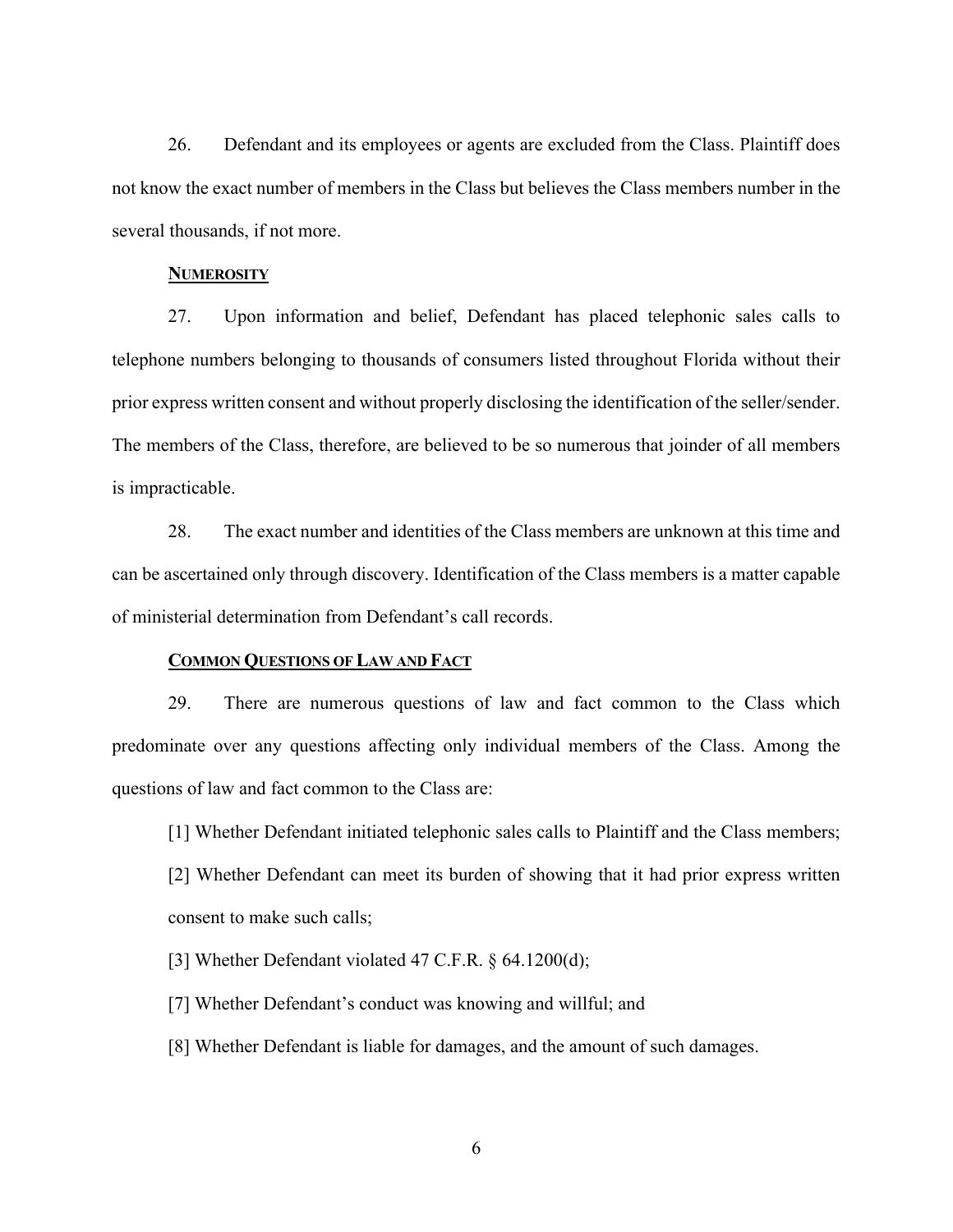26. Defendant and its employees or agents are excluded from the Class. Plaintiff does not know the exact number of members in the Class but believes the Class members number in the several thousands, if not more.

### **NUMEROSITY**

27. Upon information and belief, Defendant has placed telephonic sales calls to telephone numbers belonging to thousands of consumers listed throughout Florida without their prior express written consent and without properly disclosing the identification of the seller/sender. The members of the Class, therefore, are believed to be so numerous that joinder of all members is impracticable.

28. The exact number and identities of the Class members are unknown at this time and can be ascertained only through discovery. Identification of the Class members is a matter capable of ministerial determination from Defendant's call records.

### **COMMON QUESTIONS OF LAW AND FACT**

29. There are numerous questions of law and fact common to the Class which predominate over any questions affecting only individual members of the Class. Among the questions of law and fact common to the Class are:

[1] Whether Defendant initiated telephonic sales calls to Plaintiff and the Class members;

[2] Whether Defendant can meet its burden of showing that it had prior express written consent to make such calls;

[3] Whether Defendant violated 47 C.F.R. § 64.1200(d);

[7] Whether Defendant's conduct was knowing and willful; and

[8] Whether Defendant is liable for damages, and the amount of such damages.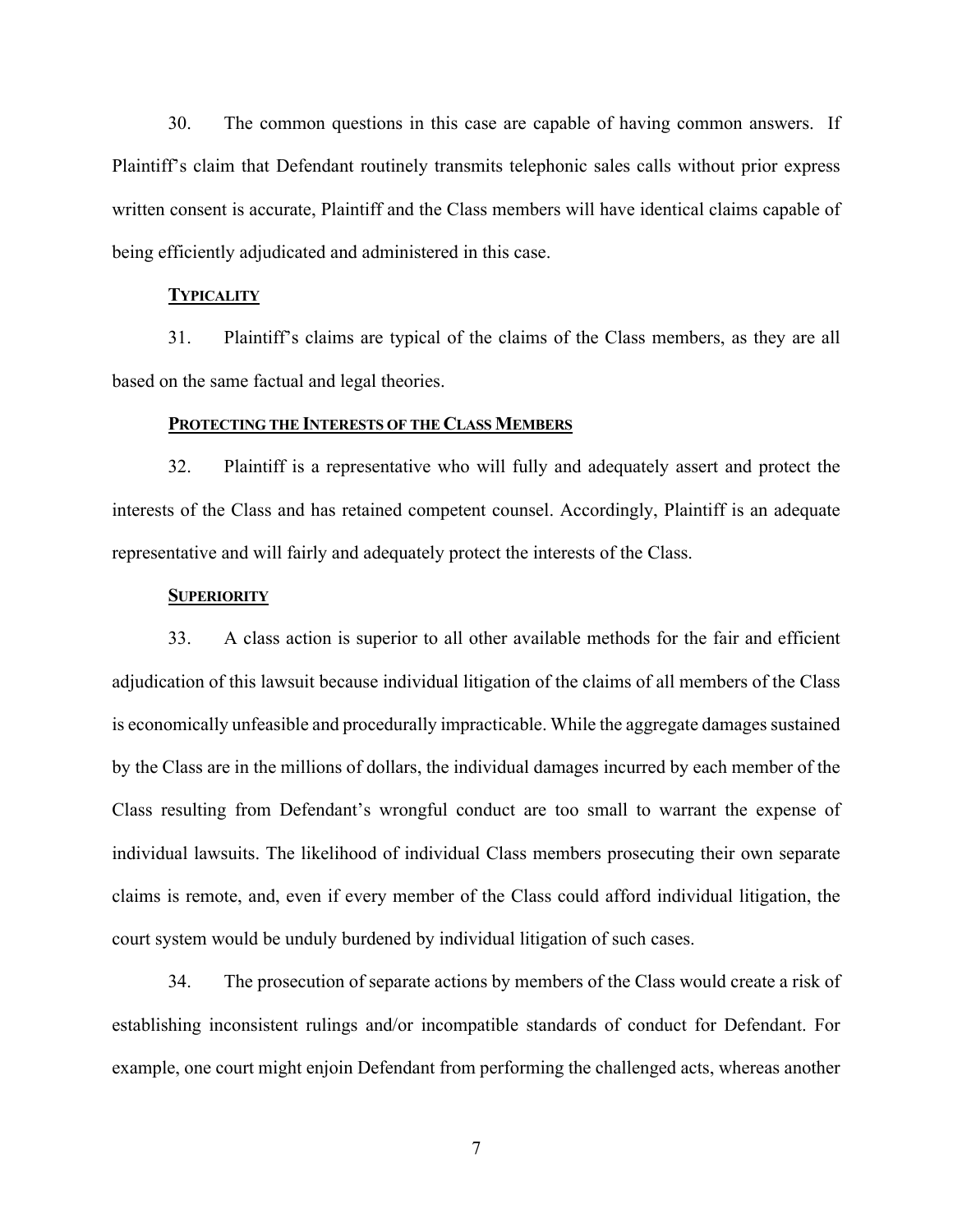30. The common questions in this case are capable of having common answers. If Plaintiff's claim that Defendant routinely transmits telephonic sales calls without prior express written consent is accurate, Plaintiff and the Class members will have identical claims capable of being efficiently adjudicated and administered in this case.

## **TYPICALITY**

31. Plaintiff's claims are typical of the claims of the Class members, as they are all based on the same factual and legal theories.

#### **PROTECTING THE INTERESTS OF THE CLASS MEMBERS**

32. Plaintiff is a representative who will fully and adequately assert and protect the interests of the Class and has retained competent counsel. Accordingly, Plaintiff is an adequate representative and will fairly and adequately protect the interests of the Class.

#### **SUPERIORITY**

33. A class action is superior to all other available methods for the fair and efficient adjudication of this lawsuit because individual litigation of the claims of all members of the Class is economically unfeasible and procedurally impracticable. While the aggregate damages sustained by the Class are in the millions of dollars, the individual damages incurred by each member of the Class resulting from Defendant's wrongful conduct are too small to warrant the expense of individual lawsuits. The likelihood of individual Class members prosecuting their own separate claims is remote, and, even if every member of the Class could afford individual litigation, the court system would be unduly burdened by individual litigation of such cases.

34. The prosecution of separate actions by members of the Class would create a risk of establishing inconsistent rulings and/or incompatible standards of conduct for Defendant. For example, one court might enjoin Defendant from performing the challenged acts, whereas another

7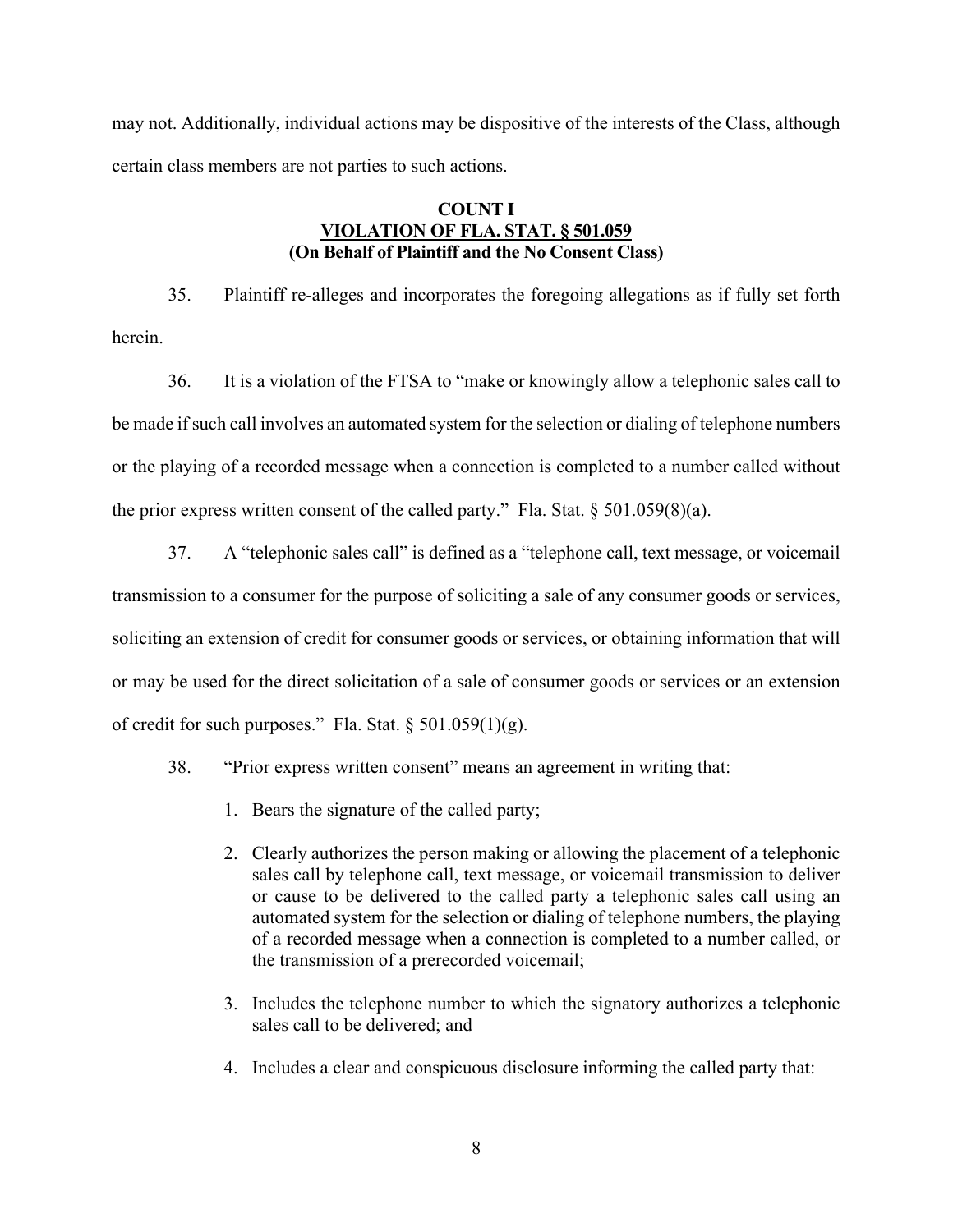may not. Additionally, individual actions may be dispositive of the interests of the Class, although certain class members are not parties to such actions.

# **COUNT I VIOLATION OF FLA. STAT. § 501.059 (On Behalf of Plaintiff and the No Consent Class)**

35. Plaintiff re-alleges and incorporates the foregoing allegations as if fully set forth herein.

36. It is a violation of the FTSA to "make or knowingly allow a telephonic sales call to be made if such call involves an automated system for the selection or dialing of telephone numbers or the playing of a recorded message when a connection is completed to a number called without the prior express written consent of the called party." Fla. Stat.  $\S 501.059(8)(a)$ .

- 37. A "telephonic sales call" is defined as a "telephone call, text message, or voicemail transmission to a consumer for the purpose of soliciting a sale of any consumer goods or services, soliciting an extension of credit for consumer goods or services, or obtaining information that will or may be used for the direct solicitation of a sale of consumer goods or services or an extension of credit for such purposes." Fla. Stat.  $\S 501.059(1)(g)$ .
	- 38. "Prior express written consent" means an agreement in writing that:
		- 1. Bears the signature of the called party;
		- 2. Clearly authorizes the person making or allowing the placement of a telephonic sales call by telephone call, text message, or voicemail transmission to deliver or cause to be delivered to the called party a telephonic sales call using an automated system for the selection or dialing of telephone numbers, the playing of a recorded message when a connection is completed to a number called, or the transmission of a prerecorded voicemail;
		- 3. Includes the telephone number to which the signatory authorizes a telephonic sales call to be delivered; and
		- 4. Includes a clear and conspicuous disclosure informing the called party that: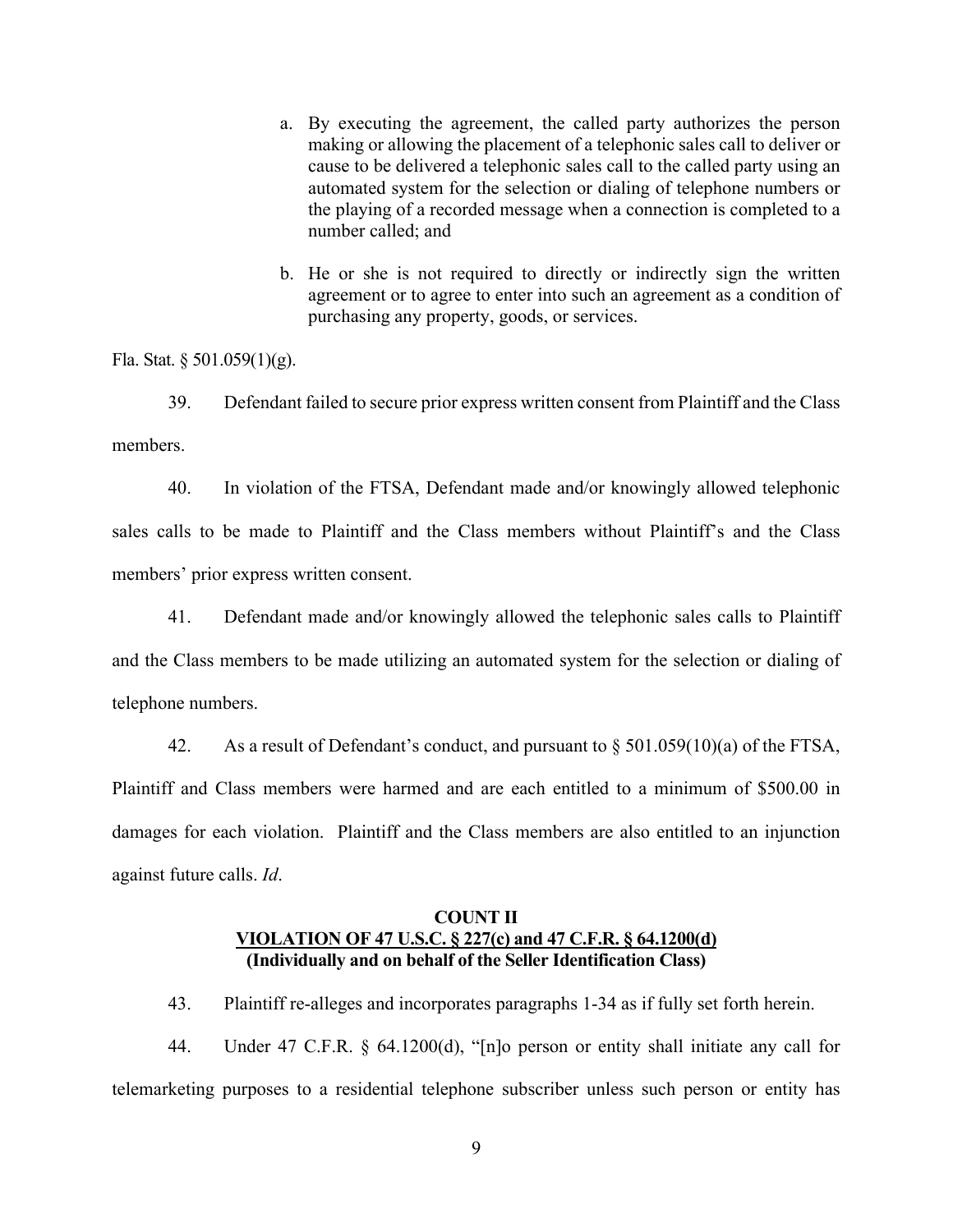- a. By executing the agreement, the called party authorizes the person making or allowing the placement of a telephonic sales call to deliver or cause to be delivered a telephonic sales call to the called party using an automated system for the selection or dialing of telephone numbers or the playing of a recorded message when a connection is completed to a number called; and
- b. He or she is not required to directly or indirectly sign the written agreement or to agree to enter into such an agreement as a condition of purchasing any property, goods, or services.

Fla. Stat. § 501.059(1)(g).

39. Defendant failed to secure prior express written consent from Plaintiff and the Class members.

40. In violation of the FTSA, Defendant made and/or knowingly allowed telephonic sales calls to be made to Plaintiff and the Class members without Plaintiff's and the Class members' prior express written consent.

41. Defendant made and/or knowingly allowed the telephonic sales calls to Plaintiff and the Class members to be made utilizing an automated system for the selection or dialing of telephone numbers.

42. As a result of Defendant's conduct, and pursuant to  $\S 501.059(10)(a)$  of the FTSA,

Plaintiff and Class members were harmed and are each entitled to a minimum of \$500.00 in damages for each violation. Plaintiff and the Class members are also entitled to an injunction against future calls. *Id*.

## **COUNT II VIOLATION OF 47 U.S.C. § 227(c) and 47 C.F.R. § 64.1200(d) (Individually and on behalf of the Seller Identification Class)**

43. Plaintiff re-alleges and incorporates paragraphs 1-34 as if fully set forth herein.

44. Under 47 C.F.R. § 64.1200(d), "[n]o person or entity shall initiate any call for telemarketing purposes to a residential telephone subscriber unless such person or entity has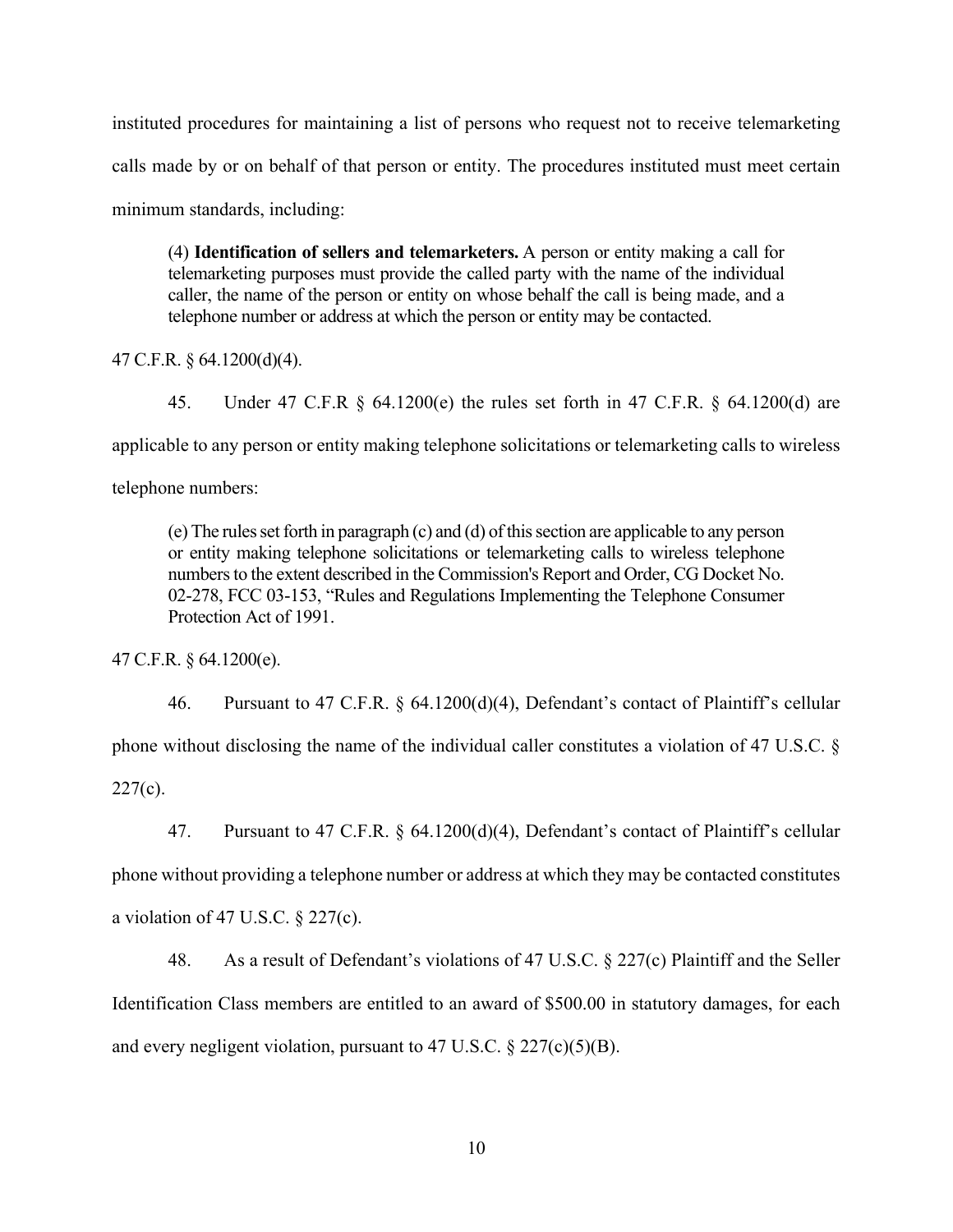instituted procedures for maintaining a list of persons who request not to receive telemarketing calls made by or on behalf of that person or entity. The procedures instituted must meet certain minimum standards, including:

(4) **Identification of sellers and telemarketers.** A person or entity making a call for telemarketing purposes must provide the called party with the name of the individual caller, the name of the person or entity on whose behalf the call is being made, and a telephone number or address at which the person or entity may be contacted.

47 C.F.R. § 64.1200(d)(4).

45. Under 47 C.F.R § 64.1200(e) the rules set forth in 47 C.F.R. § 64.1200(d) are

applicable to any person or entity making telephone solicitations or telemarketing calls to wireless

telephone numbers:

(e) The rules set forth in paragraph (c) and (d) of this section are applicable to any person or entity making telephone solicitations or telemarketing calls to wireless telephone numbers to the extent described in the Commission's Report and Order, CG Docket No. 02-278, FCC 03-153, "Rules and Regulations Implementing the Telephone Consumer Protection Act of 1991.

47 C.F.R. § 64.1200(e).

46. Pursuant to 47 C.F.R. § 64.1200(d)(4), Defendant's contact of Plaintiff's cellular phone without disclosing the name of the individual caller constitutes a violation of 47 U.S.C. §  $227(c)$ .

47. Pursuant to 47 C.F.R. § 64.1200(d)(4), Defendant's contact of Plaintiff's cellular phone without providing a telephone number or address at which they may be contacted constitutes a violation of 47 U.S.C.  $\S$  227(c).

48. As a result of Defendant's violations of 47 U.S.C. § 227(c) Plaintiff and the Seller Identification Class members are entitled to an award of \$500.00 in statutory damages, for each and every negligent violation, pursuant to 47 U.S.C.  $\S 227(c)(5)(B)$ .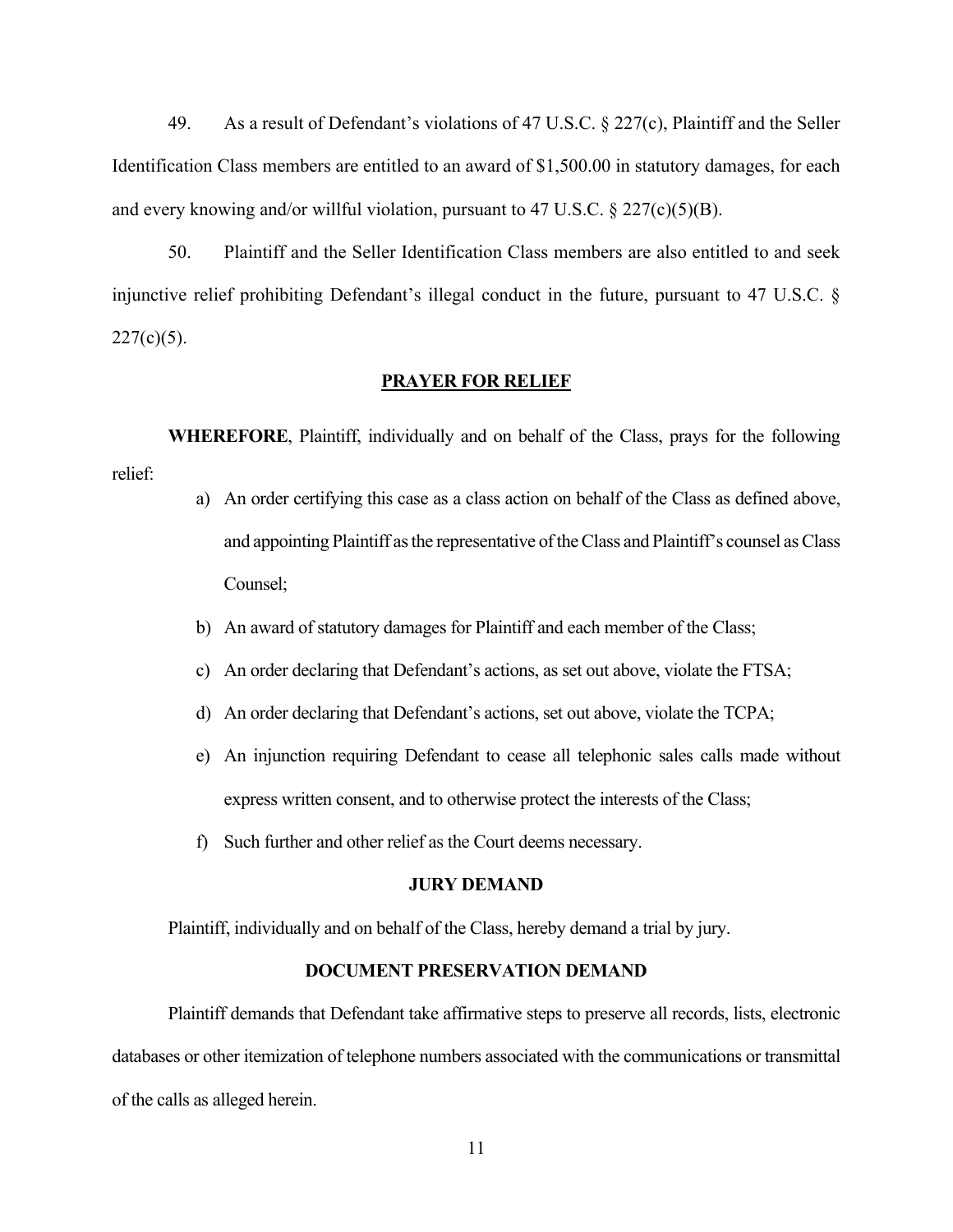49. As a result of Defendant's violations of 47 U.S.C. § 227(c), Plaintiff and the Seller Identification Class members are entitled to an award of \$1,500.00 in statutory damages, for each and every knowing and/or willful violation, pursuant to 47 U.S.C.  $\S 227(c)(5)(B)$ .

50. Plaintiff and the Seller Identification Class members are also entitled to and seek injunctive relief prohibiting Defendant's illegal conduct in the future, pursuant to 47 U.S.C. §  $227(c)(5)$ .

#### **PRAYER FOR RELIEF**

**WHEREFORE**, Plaintiff, individually and on behalf of the Class, prays for the following relief:

- a) An order certifying this case as a class action on behalf of the Class as defined above, and appointing Plaintiff as the representative of the Class and Plaintiff's counsel as Class Counsel;
- b) An award of statutory damages for Plaintiff and each member of the Class;
- c) An order declaring that Defendant's actions, as set out above, violate the FTSA;
- d) An order declaring that Defendant's actions, set out above, violate the TCPA;
- e) An injunction requiring Defendant to cease all telephonic sales calls made without express written consent, and to otherwise protect the interests of the Class;
- f) Such further and other relief as the Court deems necessary.

### **JURY DEMAND**

Plaintiff, individually and on behalf of the Class, hereby demand a trial by jury.

## **DOCUMENT PRESERVATION DEMAND**

Plaintiff demands that Defendant take affirmative steps to preserve all records, lists, electronic databases or other itemization of telephone numbers associated with the communications or transmittal of the calls as alleged herein.